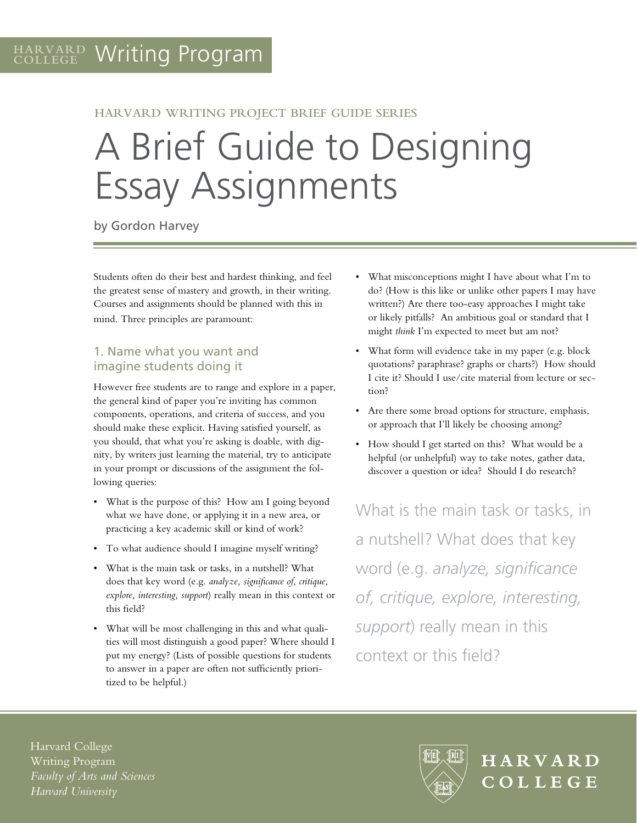#### **HARVARD WRITING PROJECT BRIEF GUIDE SERIES**

# A Brief Guide to Designing Essay Assignments

by Gordon Harvey

Students often do their best and hardest thinking, and feel the greatest sense of mastery and growth, in their writing. Courses and assignments should be planned with this in mind. Three principles are paramount:

## 1. Name what you want and imagine students doing it

However free students are to range and explore in a paper, the general kind of paper you're inviting has common components, operations, and criteria of success, and you should make these explicit. Having satisfied yourself, as you should, that what you're asking is doable, with dignity, by writers just learning the material, try to anticipate in your prompt or discussions of the assignment the following queries:

- • What is the purpose of this? How am I going beyond what we have done, or applying it in a new area, or practicing a key academic skill or kind of work?
- • To what audience should I imagine myself writing?
- What is the main task or tasks, in a nutshell? What does that key word (e.g. *analyze, significance of, critique, explore, interesting, support*) really mean in this context or this field?
- What will be most challenging in this and what qualities will most distinguish a good paper? Where should I put my energy? (Lists of possible questions for students to answer in a paper are often not sufficiently prioritized to be helpful.)
- What misconceptions might I have about what I'm to do? (How is this like or unlike other papers I may have written?) Are there too-easy approaches I might take or likely pitfalls? An ambitious goal or standard that I might *think* I'm expected to meet but am not?
- What form will evidence take in my paper (e.g. block quotations? paraphrase? graphs or charts?) How should I cite it? Should I use/cite material from lecture or section?
- • Are there some broad options for structure, emphasis, or approach that I'll likely be choosing among?
- • How should I get started on this? What would be a helpful (or unhelpful) way to take notes, gather data, discover a question or idea? Should I do research?

What is the main task or tasks, in a nutshell? What does that key word (e.g. *analyze, significance of, critique, explore, interesting, support*) really mean in this context or this field?

Harvard College Writing Program *Faculty of Arts and Sciences Harvard University*